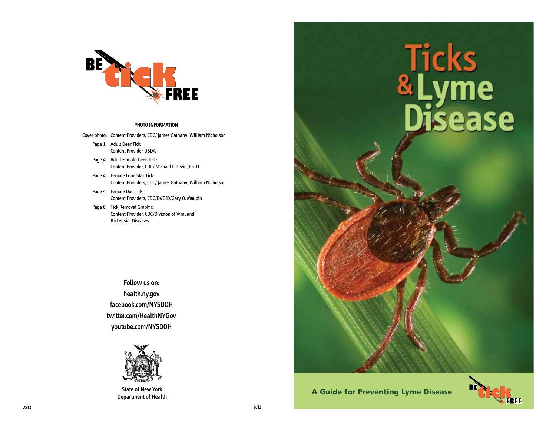

#### **PHOTO INFORMATION**

Cover photo: Content Providers, CDC/ James Gathany; William Nicholson

- Page 1, Adult Deer Tick: Content Provider USDA
- Page 4, Adult Female Deer Tick: Content Provider, CDC/ Michael L. Levin, Ph. D.
- Page 4, Female Lone Star Tick: Content Providers, CDC/ James Gathany; William Nicholson
- Page 4, Female Dog Tick: Content Providers, CDC/DVBID/Gary O. Maupin
- Page 6, Tick Removal Graphic: Content Provider, CDC/Division of Viral and Rickettsial Diseases

Follow us on: health.ny.gov facebook.com/NYSDOH twitter.com/HealthNYGov youtube.com/NYSDOH



# Ticks<br>&Lyme<br>Disease

State of New York **A Guide for Preventing Lyme Disease A Guide for Preventing Lyme Disease** 

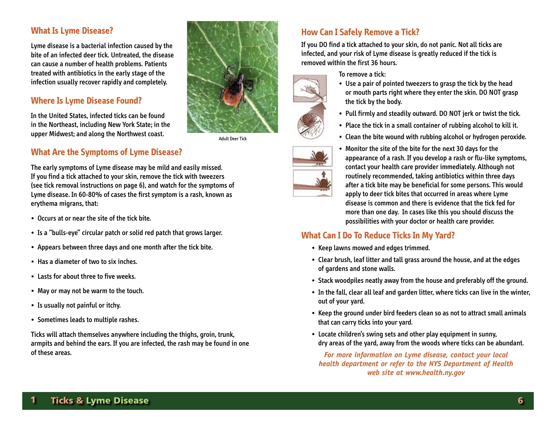#### **What Is Lyme Disease?**

Lyme disease is a bacterial infection caused by the bite of an infected deer tick. Untreated, the disease can cause a number of health problems. Patients treated with antibiotics in the early stage of the infection usually recover rapidly and completely.

## **Where Is Lyme Disease Found?**

In the United States, infected ticks can be found in the Northeast, including New York State; in the upper Midwest; and along the Northwest coast.



Adult Deer Tick

# **What Are the Symptoms of Lyme Disease?**

The early symptoms of Lyme disease may be mild and easily missed. If you find a tick attached to your skin, remove the tick with tweezers (see tick removal instructions on page 6), and watch for the symptoms of Lyme disease. In 60-80% of cases the first symptom is a rash, known as erythema migrans, that:

- Occurs at or near the site of the tick bite.
- Is a "bulls-eye" circular patch or solid red patch that grows larger.
- Appears between three days and one month after the tick bite.
- Has a diameter of two to six inches.
- Lasts for about three to five weeks.
- May or may not be warm to the touch.
- Is usually not painful or itchy.
- Sometimes leads to multiple rashes.

Ticks will attach themselves anywhere including the thighs, groin, trunk, armpits and behind the ears. If you are infected, the rash may be found in one of these areas.

# **How Can I Safely Remove a Tick?**

If you DO find a tick attached to your skin, do not panic. Not all ticks are infected, and your risk of Lyme disease is greatly reduced if the tick is removed within the first 36 hours.

To remove a tick:

the tick by the body.





• Monitor the site of the bite for the next 30 days for the appearance of a rash. If you develop a rash or flu-like symptoms, contact your health care provider immediately. Although not routinely recommended, taking antibiotics within three days after a tick bite may be beneficial for some persons. This would apply to deer tick bites that occurred in areas where Lyme disease is common and there is evidence that the tick fed for more than one day. In cases like this you should discuss the possibilities with your doctor or health care provider.

or mouth parts right where they enter the skin. DO NOT grasp

• Clean the bite wound with rubbing alcohol or hydrogen peroxide.

# **What Can I Do To Reduce Ticks In My Yard?**

- Keep lawns mowed and edges trimmed.
- Clear brush, leaf litter and tall grass around the house, and at the edges of gardens and stone walls.
- Stack woodpiles neatly away from the house and preferably off the ground.
- In the fall, clear all leaf and garden litter, where ticks can live in the winter, out of your yard.
- Keep the ground under bird feeders clean so as not to attract small animals that can carry ticks into your yard.
- Locate children's swing sets and other play equipment in sunny, dry areas of the yard, away from the woods where ticks can be abundant.

*For more information on Lyme disease, contact your local health department or refer to the NYS Department of Health web site at www.health.ny.gov*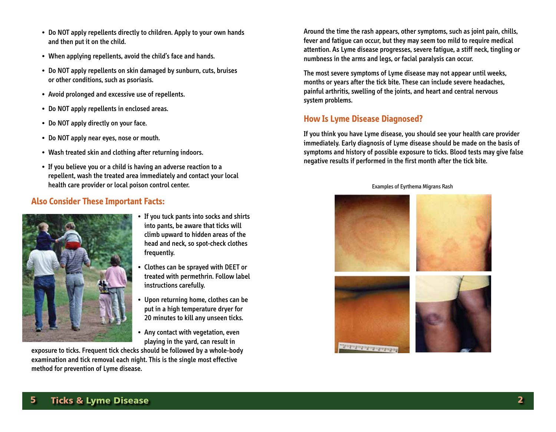- Do NOT apply repellents directly to children. Apply to your own hands and then put it on the child.
- When applying repellents, avoid the child's face and hands.
- Do NOT apply repellents on skin damaged by sunburn, cuts, bruises or other conditions, such as psoriasis.
- Avoid prolonged and excessive use of repellents.
- Do NOT apply repellents in enclosed areas.
- Do NOT apply directly on your face.
- Do NOT apply near eyes, nose or mouth.
- Wash treated skin and clothing after returning indoors.
- If you believe you or a child is having an adverse reaction to a repellent, wash the treated area immediately and contact your local health care provider or local poison control center.

## **Also Consider These Important Facts:**



- If you tuck pants into socks and shirts into pants, be aware that ticks will climb upward to hidden areas of the head and neck, so spot-check clothes frequently.
- Clothes can be sprayed with DEET or treated with permethrin. Follow label instructions carefully.
- Upon returning home, clothes can be put in a high temperature dryer for 20 minutes to kill any unseen ticks.
- Any contact with vegetation, even playing in the yard, can result in

exposure to ticks. Frequent tick checks should be followed by a whole-body examination and tick removal each night. This is the single most effective method for prevention of Lyme disease.

Around the time the rash appears, other symptoms, such as joint pain, chills, fever and fatigue can occur, but they may seem too mild to require medical attention. As Lyme disease progresses, severe fatigue, a stiff neck, tingling or numbness in the arms and legs, or facial paralysis can occur.

The most severe symptoms of Lyme disease may not appear until weeks, months or years after the tick bite. These can include severe headaches, painful arthritis, swelling of the joints, and heart and central nervous system problems.

## **How Is Lyme Disease Diagnosed?**

If you think you have Lyme disease, you should see your health care provider immediately. Early diagnosis of Lyme disease should be made on the basis of symptoms and history of possible exposure to ticks. Blood tests may give false negative results if performed in the first month after the tick bite.

Examples of Eyrthema Migrans Rash